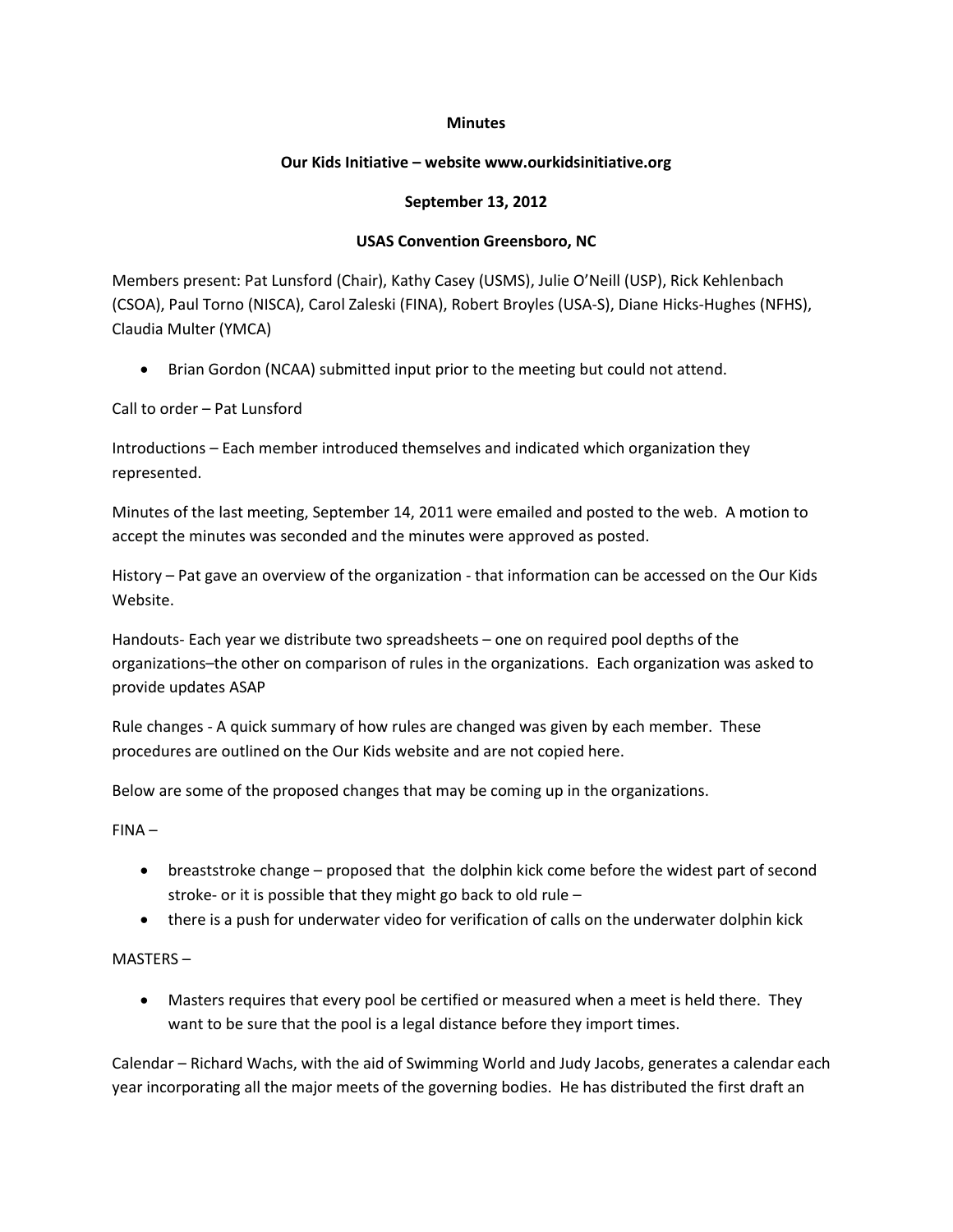## **Minutes**

## **Our Kids Initiative – website www.ourkidsinitiative.org**

## **September 13, 2012**

## **USAS Convention Greensboro, NC**

Members present: Pat Lunsford (Chair), Kathy Casey (USMS), Julie O'Neill (USP), Rick Kehlenbach (CSOA), Paul Torno (NISCA), Carol Zaleski (FINA), Robert Broyles (USA-S), Diane Hicks-Hughes (NFHS), Claudia Multer (YMCA)

Brian Gordon (NCAA) submitted input prior to the meeting but could not attend.

Call to order – Pat Lunsford

Introductions – Each member introduced themselves and indicated which organization they represented.

Minutes of the last meeting, September 14, 2011 were emailed and posted to the web. A motion to accept the minutes was seconded and the minutes were approved as posted.

History – Pat gave an overview of the organization - that information can be accessed on the Our Kids Website.

Handouts- Each year we distribute two spreadsheets – one on required pool depths of the organizations–the other on comparison of rules in the organizations. Each organization was asked to provide updates ASAP

Rule changes - A quick summary of how rules are changed was given by each member. These procedures are outlined on the Our Kids website and are not copied here.

Below are some of the proposed changes that may be coming up in the organizations.

FINA –

- breaststroke change proposed that the dolphin kick come before the widest part of second stroke- or it is possible that they might go back to old rule –
- there is a push for underwater video for verification of calls on the underwater dolphin kick

MASTERS –

 Masters requires that every pool be certified or measured when a meet is held there. They want to be sure that the pool is a legal distance before they import times.

Calendar – Richard Wachs, with the aid of Swimming World and Judy Jacobs, generates a calendar each year incorporating all the major meets of the governing bodies. He has distributed the first draft an